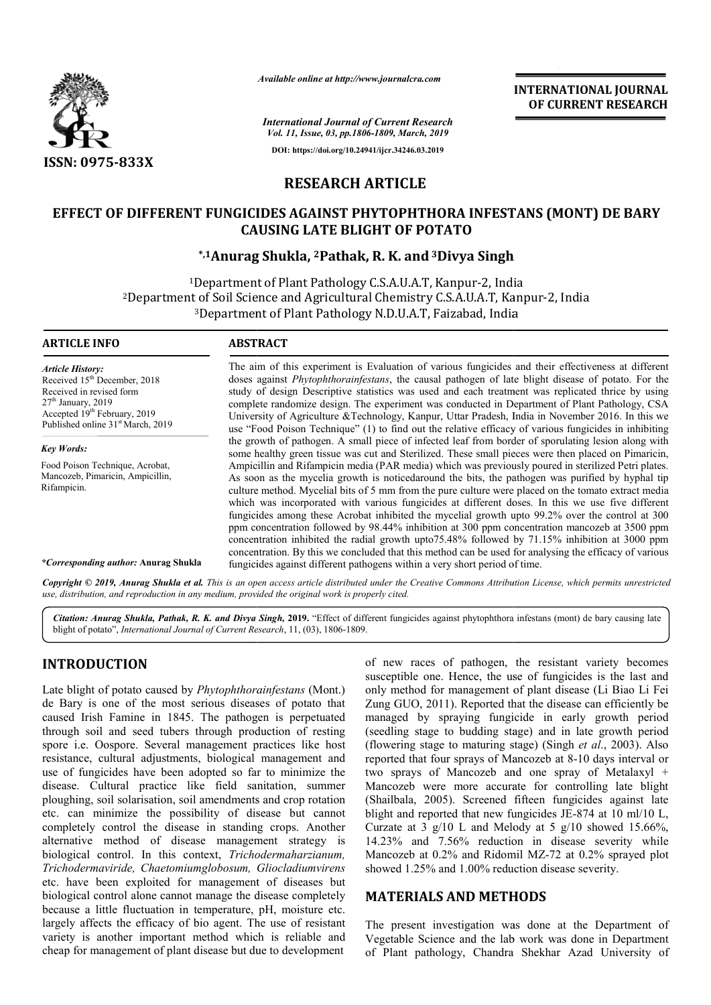

*Available online at http://www.journalcra.com*

## **RESEARCH ARTICLE**

# EFFECT OF DIFFERENT FUNGICIDES AGAINST PHYTOPHTHORA INFESTANS (MONT) DE BARY<br>CAUSING LATE BLIGHT OF POTATO<br><sup>5,1</sup>Anurag Shukla, <sup>2</sup>Pathak, R. K. and <sup>3</sup>Divya Singh **CAUSING LATE BLIGHT OF POTATO**

## **\*,1Anurag Anurag Shukla, 2Pathak, R. K. and 3Divya Singh**

|                                                                                                                                                                                                                                                                                                                                                                                                                                                                                                                                                                                                                                                                                                                                                                                                                                                                                                                                                                                                                                                                                                                       | unuvie viinne ui nup://www.jvurnuicru.com |                                                                                                                                                                                                                                                     | <b>INTERNATIONAL JOURNAL</b><br>OF CURRENT RESEARCH                                                                                                                                                                                                                                                                                                                                                                                                                                                                                                                                                                                                                                                                                                                                                                                                                                                                                                                                                                                                                                                                                                                                                                                                                                                                                                                                                                                                                                                                                                                                                                                                                                       |
|-----------------------------------------------------------------------------------------------------------------------------------------------------------------------------------------------------------------------------------------------------------------------------------------------------------------------------------------------------------------------------------------------------------------------------------------------------------------------------------------------------------------------------------------------------------------------------------------------------------------------------------------------------------------------------------------------------------------------------------------------------------------------------------------------------------------------------------------------------------------------------------------------------------------------------------------------------------------------------------------------------------------------------------------------------------------------------------------------------------------------|-------------------------------------------|-----------------------------------------------------------------------------------------------------------------------------------------------------------------------------------------------------------------------------------------------------|-------------------------------------------------------------------------------------------------------------------------------------------------------------------------------------------------------------------------------------------------------------------------------------------------------------------------------------------------------------------------------------------------------------------------------------------------------------------------------------------------------------------------------------------------------------------------------------------------------------------------------------------------------------------------------------------------------------------------------------------------------------------------------------------------------------------------------------------------------------------------------------------------------------------------------------------------------------------------------------------------------------------------------------------------------------------------------------------------------------------------------------------------------------------------------------------------------------------------------------------------------------------------------------------------------------------------------------------------------------------------------------------------------------------------------------------------------------------------------------------------------------------------------------------------------------------------------------------------------------------------------------------------------------------------------------------|
|                                                                                                                                                                                                                                                                                                                                                                                                                                                                                                                                                                                                                                                                                                                                                                                                                                                                                                                                                                                                                                                                                                                       |                                           | <b>International Journal of Current Research</b><br>Vol. 11, Issue, 03, pp.1806-1809, March, 2019                                                                                                                                                   |                                                                                                                                                                                                                                                                                                                                                                                                                                                                                                                                                                                                                                                                                                                                                                                                                                                                                                                                                                                                                                                                                                                                                                                                                                                                                                                                                                                                                                                                                                                                                                                                                                                                                           |
| <b>ISSN: 0975-833X</b>                                                                                                                                                                                                                                                                                                                                                                                                                                                                                                                                                                                                                                                                                                                                                                                                                                                                                                                                                                                                                                                                                                |                                           | DOI: https://doi.org/10.24941/ijcr.34246.03.2019                                                                                                                                                                                                    |                                                                                                                                                                                                                                                                                                                                                                                                                                                                                                                                                                                                                                                                                                                                                                                                                                                                                                                                                                                                                                                                                                                                                                                                                                                                                                                                                                                                                                                                                                                                                                                                                                                                                           |
|                                                                                                                                                                                                                                                                                                                                                                                                                                                                                                                                                                                                                                                                                                                                                                                                                                                                                                                                                                                                                                                                                                                       | <b>RESEARCH ARTICLE</b>                   |                                                                                                                                                                                                                                                     |                                                                                                                                                                                                                                                                                                                                                                                                                                                                                                                                                                                                                                                                                                                                                                                                                                                                                                                                                                                                                                                                                                                                                                                                                                                                                                                                                                                                                                                                                                                                                                                                                                                                                           |
|                                                                                                                                                                                                                                                                                                                                                                                                                                                                                                                                                                                                                                                                                                                                                                                                                                                                                                                                                                                                                                                                                                                       |                                           |                                                                                                                                                                                                                                                     |                                                                                                                                                                                                                                                                                                                                                                                                                                                                                                                                                                                                                                                                                                                                                                                                                                                                                                                                                                                                                                                                                                                                                                                                                                                                                                                                                                                                                                                                                                                                                                                                                                                                                           |
| EFFECT OF DIFFERENT FUNGICIDES AGAINST PHYTOPHTHORA INFESTANS (MONT) DE BARY                                                                                                                                                                                                                                                                                                                                                                                                                                                                                                                                                                                                                                                                                                                                                                                                                                                                                                                                                                                                                                          |                                           | <b>CAUSING LATE BLIGHT OF POTATO</b>                                                                                                                                                                                                                |                                                                                                                                                                                                                                                                                                                                                                                                                                                                                                                                                                                                                                                                                                                                                                                                                                                                                                                                                                                                                                                                                                                                                                                                                                                                                                                                                                                                                                                                                                                                                                                                                                                                                           |
|                                                                                                                                                                                                                                                                                                                                                                                                                                                                                                                                                                                                                                                                                                                                                                                                                                                                                                                                                                                                                                                                                                                       |                                           | *,1Anurag Shukla, <sup>2</sup> Pathak, R. K. and <sup>3</sup> Divya Singh                                                                                                                                                                           |                                                                                                                                                                                                                                                                                                                                                                                                                                                                                                                                                                                                                                                                                                                                                                                                                                                                                                                                                                                                                                                                                                                                                                                                                                                                                                                                                                                                                                                                                                                                                                                                                                                                                           |
|                                                                                                                                                                                                                                                                                                                                                                                                                                                                                                                                                                                                                                                                                                                                                                                                                                                                                                                                                                                                                                                                                                                       |                                           | <sup>1</sup> Department of Plant Pathology C.S.A.U.A.T, Kanpur-2, India<br><sup>2</sup> Department of Soil Science and Agricultural Chemistry C.S.A.U.A.T, Kanpur-2, India<br><sup>3</sup> Department of Plant Pathology N.D.U.A.T, Faizabad, India |                                                                                                                                                                                                                                                                                                                                                                                                                                                                                                                                                                                                                                                                                                                                                                                                                                                                                                                                                                                                                                                                                                                                                                                                                                                                                                                                                                                                                                                                                                                                                                                                                                                                                           |
| <b>ARTICLE INFO</b>                                                                                                                                                                                                                                                                                                                                                                                                                                                                                                                                                                                                                                                                                                                                                                                                                                                                                                                                                                                                                                                                                                   | <b>ABSTRACT</b>                           |                                                                                                                                                                                                                                                     |                                                                                                                                                                                                                                                                                                                                                                                                                                                                                                                                                                                                                                                                                                                                                                                                                                                                                                                                                                                                                                                                                                                                                                                                                                                                                                                                                                                                                                                                                                                                                                                                                                                                                           |
| <b>Article History:</b><br>Received 15 <sup>th</sup> December, 2018<br>Received in revised form<br>27 <sup>th</sup> January, 2019<br>Accepted 19 <sup>th</sup> February, 2019<br>Published online 31 <sup>st</sup> March, 2019<br><b>Key Words:</b><br>Food Poison Technique, Acrobat,<br>Mancozeb, Pimaricin, Ampicillin,<br>Rifampicin.<br>*Corresponding author: Anurag Shukla                                                                                                                                                                                                                                                                                                                                                                                                                                                                                                                                                                                                                                                                                                                                     |                                           | fungicides against different pathogens within a very short period of time.                                                                                                                                                                          | The aim of this experiment is Evaluation of various fungicides and their effectiveness at different<br>doses against <i>Phytophthorainfestans</i> , the causal pathogen of late blight disease of potato. For the<br>study of design Descriptive statistics was used and each treatment was replicated thrice by using<br>complete randomize design. The experiment was conducted in Department of Plant Pathology, CSA<br>University of Agriculture &Technology, Kanpur, Uttar Pradesh, India in November 2016. In this we<br>use "Food Poison Technique" (1) to find out the relative efficacy of various fungicides in inhibiting<br>the growth of pathogen. A small piece of infected leaf from border of sporulating lesion along with<br>some healthy green tissue was cut and Sterilized. These small pieces were then placed on Pimaricin,<br>Ampicillin and Rifampicin media (PAR media) which was previously poured in sterilized Petri plates.<br>As soon as the mycelia growth is noticedaround the bits, the pathogen was purified by hyphal tip<br>culture method. Mycelial bits of 5 mm from the pure culture were placed on the tomato extract media<br>which was incorporated with various fungicides at different doses. In this we use five different<br>fungicides among these Acrobat inhibited the mycelial growth upto 99.2% over the control at 300<br>ppm concentration followed by 98.44% inhibition at 300 ppm concentration mancozeb at 3500 ppm<br>concentration inhibited the radial growth upto 75.48% followed by 71.15% inhibition at 3000 ppm<br>concentration. By this we concluded that this method can be used for analysing the efficacy of various |
| Copyright © 2019, Anurag Shukla et al. This is an open access article distributed under the Creative Commons Attribution License, which permits unrestricted<br>use, distribution, and reproduction in any medium, provided the original work is properly cited.                                                                                                                                                                                                                                                                                                                                                                                                                                                                                                                                                                                                                                                                                                                                                                                                                                                      |                                           |                                                                                                                                                                                                                                                     |                                                                                                                                                                                                                                                                                                                                                                                                                                                                                                                                                                                                                                                                                                                                                                                                                                                                                                                                                                                                                                                                                                                                                                                                                                                                                                                                                                                                                                                                                                                                                                                                                                                                                           |
| Citation: Anurag Shukla, Pathak, R. K. and Divya Singh, 2019. "Effect of different fungicides against phytophthora infestans (mont) de bary causing late<br>blight of potato", International Journal of Current Research, 11, (03), 1806-1809.                                                                                                                                                                                                                                                                                                                                                                                                                                                                                                                                                                                                                                                                                                                                                                                                                                                                        |                                           |                                                                                                                                                                                                                                                     |                                                                                                                                                                                                                                                                                                                                                                                                                                                                                                                                                                                                                                                                                                                                                                                                                                                                                                                                                                                                                                                                                                                                                                                                                                                                                                                                                                                                                                                                                                                                                                                                                                                                                           |
| <b>INTRODUCTION</b><br>Late blight of potato caused by <i>Phytophthorainfestans</i> (Mont.)<br>de Bary is one of the most serious diseases of potato that<br>caused Irish Famine in 1845. The pathogen is perpetuated<br>through soil and seed tubers through production of resting<br>spore i.e. Oospore. Several management practices like host<br>resistance, cultural adjustments, biological management and<br>use of fungicides have been adopted so far to minimize the<br>disease. Cultural practice like field sanitation, summer<br>ploughing, soil solarisation, soil amendments and crop rotation<br>etc. can minimize the possibility of disease but cannot<br>completely control the disease in standing crops. Another<br>alternative method of disease management strategy is<br>biological control. In this context, Trichodermaharzianum,<br>Trichodermaviride, Chaetomiumglobosum, Gliocladiumvirens<br>etc. have been exploited for management of diseases but<br>biological control alone cannot manage the disease completely<br>because a little fluctuation in temperature, pH, moisture etc. |                                           | showed 1.25% and 1.00% reduction disease severity.<br><b>MATERIALS AND METHODS</b>                                                                                                                                                                  | of new races of pathogen, the resistant variety becomes<br>susceptible one. Hence, the use of fungicides is the last and<br>only method for management of plant disease (Li Biao Li Fei<br>Zung GUO, 2011). Reported that the disease can efficiently be<br>managed by spraying fungicide in early growth period<br>(seedling stage to budding stage) and in late growth period<br>(flowering stage to maturing stage) (Singh et al., 2003). Also<br>reported that four sprays of Mancozeb at 8-10 days interval or<br>two sprays of Mancozeb and one spray of Metalaxyl +<br>Mancozeb were more accurate for controlling late blight<br>(Shailbala, 2005). Screened fifteen fungicides against late<br>blight and reported that new fungicides JE-874 at 10 ml/10 L,<br>Curzate at 3 $g/10$ L and Melody at 5 $g/10$ showed 15.66%,<br>14.23% and 7.56% reduction in disease severity while<br>Mancozeb at 0.2% and Ridomil MZ-72 at 0.2% sprayed plot                                                                                                                                                                                                                                                                                                                                                                                                                                                                                                                                                                                                                                                                                                                                   |
| largely affects the efficacy of bio agent. The use of resistant<br>variety is another important method which is reliable and                                                                                                                                                                                                                                                                                                                                                                                                                                                                                                                                                                                                                                                                                                                                                                                                                                                                                                                                                                                          |                                           |                                                                                                                                                                                                                                                     | The present investigation was done at the Department of<br>Vegetable Science and the lab work was done in Department                                                                                                                                                                                                                                                                                                                                                                                                                                                                                                                                                                                                                                                                                                                                                                                                                                                                                                                                                                                                                                                                                                                                                                                                                                                                                                                                                                                                                                                                                                                                                                      |

## **INTRODUCTION**

## **MATERIALS AND METHODS METHODS**

The present investigation was done at the Department of Vegetable Science and the lab work was done in Department of Plant pathology, Chandra Shekhar Azad University of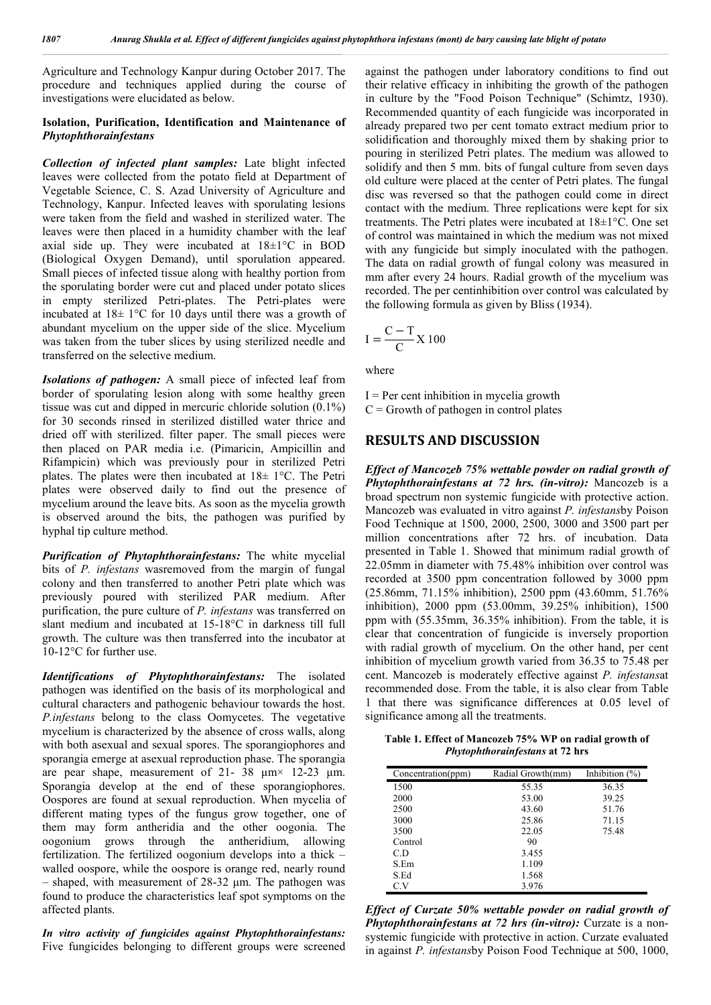Agriculture and Technology Kanpur during October 2017. The procedure and techniques applied during the course of investigations were elucidated as below.

#### **Isolation, Purification, Identification and Maintenance of** *Phytophthorainfestans*

*Collection of infected plant samples:* Late blight infected leaves were collected from the potato field at Department of Vegetable Science, C. S. Azad University of Agriculture and Technology, Kanpur. Infected leaves with sporulating lesions were taken from the field and washed in sterilized water. The leaves were then placed in a humidity chamber with the leaf axial side up. They were incubated at 18±1°C in BOD (Biological Oxygen Demand), until sporulation appeared. Small pieces of infected tissue along with healthy portion from the sporulating border were cut and placed under potato slices in empty sterilized Petri-plates. The Petri-plates were incubated at 18± 1°C for 10 days until there was a growth of abundant mycelium on the upper side of the slice. Mycelium was taken from the tuber slices by using sterilized needle and transferred on the selective medium.

*Isolations of pathogen:* A small piece of infected leaf from border of sporulating lesion along with some healthy green tissue was cut and dipped in mercuric chloride solution (0.1%) for 30 seconds rinsed in sterilized distilled water thrice and dried off with sterilized. filter paper. The small pieces were then placed on PAR media i.e. (Pimaricin, Ampicillin and Rifampicin) which was previously pour in sterilized Petri plates. The plates were then incubated at 18± 1°C. The Petri plates were observed daily to find out the presence of mycelium around the leave bits. As soon as the mycelia growth is observed around the bits, the pathogen was purified by hyphal tip culture method.

*Purification of Phytophthorainfestans:* The white mycelial bits of *P. infestans* wasremoved from the margin of fungal colony and then transferred to another Petri plate which was previously poured with sterilized PAR medium. After purification, the pure culture of *P. infestans* was transferred on slant medium and incubated at 15-18°C in darkness till full growth. The culture was then transferred into the incubator at 10-12°C for further use.

*Identifications of Phytophthorainfestans:* The isolated pathogen was identified on the basis of its morphological and cultural characters and pathogenic behaviour towards the host. *P.infestans* belong to the class Oomycetes. The vegetative mycelium is characterized by the absence of cross walls, along with both asexual and sexual spores. The sporangiophores and sporangia emerge at asexual reproduction phase. The sporangia are pear shape, measurement of 21- 38  $\mu$ m× 12-23  $\mu$ m. Sporangia develop at the end of these sporangiophores. Oospores are found at sexual reproduction. When mycelia of different mating types of the fungus grow together, one of them may form antheridia and the other oogonia. The oogonium grows through the antheridium, allowing fertilization. The fertilized oogonium develops into a thick – walled oospore, while the oospore is orange red, nearly round  $-$  shaped, with measurement of 28-32  $\mu$ m. The pathogen was found to produce the characteristics leaf spot symptoms on the affected plants.

*In vitro activity of fungicides against Phytophthorainfestans:* Five fungicides belonging to different groups were screened against the pathogen under laboratory conditions to find out their relative efficacy in inhibiting the growth of the pathogen in culture by the "Food Poison Technique" (Schimtz, 1930). Recommended quantity of each fungicide was incorporated in already prepared two per cent tomato extract medium prior to solidification and thoroughly mixed them by shaking prior to pouring in sterilized Petri plates. The medium was allowed to solidify and then 5 mm. bits of fungal culture from seven days old culture were placed at the center of Petri plates. The fungal disc was reversed so that the pathogen could come in direct contact with the medium. Three replications were kept for six treatments. The Petri plates were incubated at 18±1°C. One set of control was maintained in which the medium was not mixed with any fungicide but simply inoculated with the pathogen. The data on radial growth of fungal colony was measured in mm after every 24 hours. Radial growth of the mycelium was recorded. The per centinhibition over control was calculated by the following formula as given by Bliss (1934).

$$
I = \frac{C - T}{C} X 100
$$

where

 $I = Per$  cent inhibition in mycelia growth  $C =$  Growth of pathogen in control plates

### **RESULTS AND DISCUSSION**

*Effect of Mancozeb 75% wettable powder on radial growth of Phytophthorainfestans at 72 hrs. (in-vitro):* Mancozeb is a broad spectrum non systemic fungicide with protective action. Mancozeb was evaluated in vitro against *P. infestans*by Poison Food Technique at 1500, 2000, 2500, 3000 and 3500 part per million concentrations after 72 hrs. of incubation. Data presented in Table 1. Showed that minimum radial growth of 22.05mm in diameter with 75.48% inhibition over control was recorded at 3500 ppm concentration followed by 3000 ppm (25.86mm, 71.15% inhibition), 2500 ppm (43.60mm, 51.76% inhibition), 2000 ppm (53.00mm, 39.25% inhibition), 1500 ppm with (55.35mm, 36.35% inhibition). From the table, it is clear that concentration of fungicide is inversely proportion with radial growth of mycelium. On the other hand, per cent inhibition of mycelium growth varied from 36.35 to 75.48 per cent. Mancozeb is moderately effective against *P. infestans*at recommended dose. From the table, it is also clear from Table 1 that there was significance differences at 0.05 level of significance among all the treatments.

**Table 1. Effect of Mancozeb 75% WP on radial growth of**  *Phytophthorainfestans* **at 72 hrs**

| Concentration(ppm) | Radial Growth(mm) | Inhibition $(\%)$ |
|--------------------|-------------------|-------------------|
| 1500               | 55.35             | 36.35             |
| 2000               | 53.00             | 39.25             |
| 2500               | 43.60             | 51.76             |
| 3000               | 25.86             | 71.15             |
| 3500               | 22.05             | 75.48             |
| Control            | 90                |                   |
| C.D                | 3.455             |                   |
| S.Em               | 1.109             |                   |
| S.Ed               | 1.568             |                   |
| C.V                | 3.976             |                   |

*Effect of Curzate 50% wettable powder on radial growth of Phytophthorainfestans at 72 hrs (in-vitro):* Curzate is a nonsystemic fungicide with protective in action. Curzate evaluated in against *P. infestans*by Poison Food Technique at 500, 1000,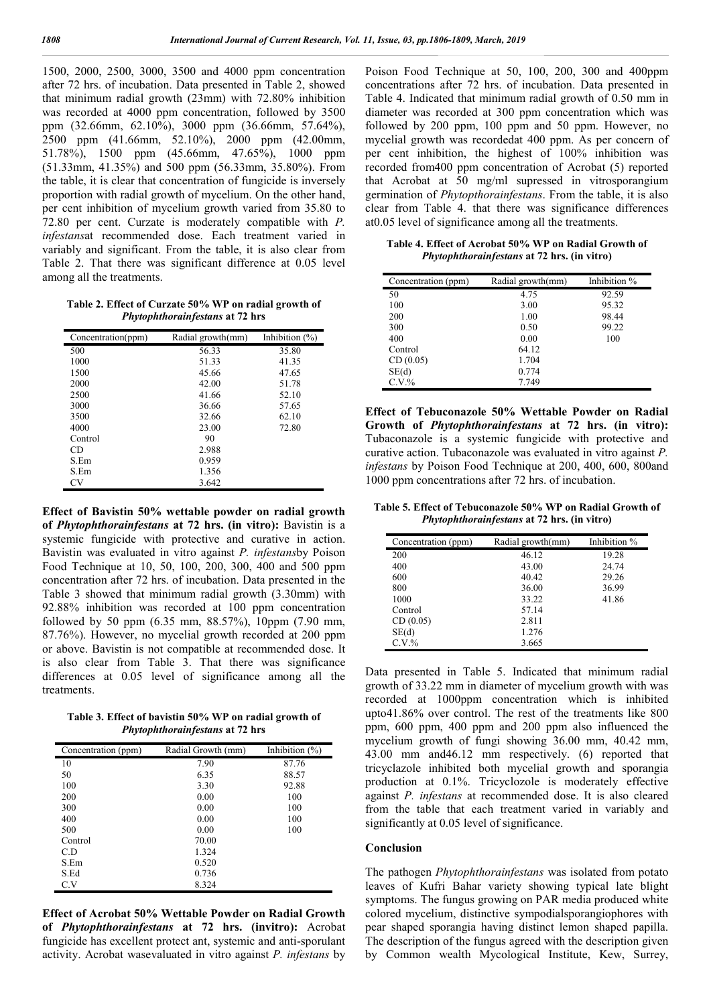1500, 2000, 2500, 3000, 3500 and 4000 ppm concentration after 72 hrs. of incubation. Data presented in Table 2, showed that minimum radial growth (23mm) with 72.80% inhibition was recorded at 4000 ppm concentration, followed by 3500 ppm (32.66mm, 62.10%), 3000 ppm (36.66mm, 57.64%), 2500 ppm (41.66mm, 52.10%), 2000 ppm (42.00mm, 51.78%), 1500 ppm (45.66mm, 47.65%), 1000 ppm (51.33mm, 41.35%) and 500 ppm (56.33mm, 35.80%). From the table, it is clear that concentration of fungicide is inversely proportion with radial growth of mycelium. On the other hand, per cent inhibition of mycelium growth varied from 35.80 to 72.80 per cent. Curzate is moderately compatible with *P. infestans*at recommended dose. Each treatment varied in variably and significant. From the table, it is also clear from Table 2. That there was significant difference at 0.05 level among all the treatments.

**Table 2. Effect of Curzate 50% WP on radial growth of**  *Phytophthorainfestans* **at 72 hrs**

| Concentration(ppm) | Radial growth(mm) | Inhibition $(\%)$ |
|--------------------|-------------------|-------------------|
| 500                | 56.33             | 35.80             |
| 1000               | 51.33             | 41.35             |
| 1500               | 45.66             | 47.65             |
| 2000               | 42.00             | 51.78             |
| 2500               | 41.66             | 52.10             |
| 3000               | 36.66             | 57.65             |
| 3500               | 32.66             | 62.10             |
| 4000               | 23.00             | 72.80             |
| Control            | 90                |                   |
| CD                 | 2.988             |                   |
| S.Em               | 0.959             |                   |
| S.Em               | 1.356             |                   |
| CV                 | 3.642             |                   |

**Effect of Bavistin 50% wettable powder on radial growth of** *Phytophthorainfestans* **at 72 hrs. (in vitro):** Bavistin is a systemic fungicide with protective and curative in action. Bavistin was evaluated in vitro against *P. infestans*by Poison Food Technique at 10, 50, 100, 200, 300, 400 and 500 ppm concentration after 72 hrs. of incubation. Data presented in the Table 3 showed that minimum radial growth (3.30mm) with 92.88% inhibition was recorded at 100 ppm concentration followed by 50 ppm (6.35 mm, 88.57%), 10ppm (7.90 mm, 87.76%). However, no mycelial growth recorded at 200 ppm or above. Bavistin is not compatible at recommended dose. It is also clear from Table 3. That there was significance differences at 0.05 level of significance among all the treatments.

**Table 3. Effect of bavistin 50% WP on radial growth of**  *Phytophthorainfestans* **at 72 hrs**

| Concentration (ppm) | Radial Growth (mm) | Inhibition $(\%)$ |
|---------------------|--------------------|-------------------|
| 10                  | 7.90               | 87.76             |
| 50                  | 6.35               | 88.57             |
| 100                 | 3.30               | 92.88             |
| 200                 | 0.00               | 100               |
| 300                 | 0.00               | 100               |
| 400                 | 0.00               | 100               |
| 500                 | 0.00               | 100               |
| Control             | 70.00              |                   |
| C.D                 | 1.324              |                   |
| S.Em                | 0.520              |                   |
| S.Ed                | 0.736              |                   |
| C.V                 | 8.324              |                   |

**Effect of Acrobat 50% Wettable Powder on Radial Growth of** *Phytophthorainfestans* **at 72 hrs. (invitro):** Acrobat fungicide has excellent protect ant, systemic and anti-sporulant activity. Acrobat wasevaluated in vitro against *P. infestans* by Poison Food Technique at 50, 100, 200, 300 and 400ppm concentrations after 72 hrs. of incubation. Data presented in Table 4. Indicated that minimum radial growth of 0.50 mm in diameter was recorded at 300 ppm concentration which was followed by 200 ppm, 100 ppm and 50 ppm. However, no mycelial growth was recordedat 400 ppm. As per concern of per cent inhibition, the highest of 100% inhibition was recorded from400 ppm concentration of Acrobat (5) reported that Acrobat at 50 mg/ml supressed in vitrosporangium germination of *Phytopthorainfestans*. From the table, it is also clear from Table 4. that there was significance differences at0.05 level of significance among all the treatments.

**Table 4. Effect of Acrobat 50% WP on Radial Growth of**  *Phytophthorainfestans* **at 72 hrs. (in vitro)**

| Concentration (ppm) | Radial growth(mm) | Inhibition % |
|---------------------|-------------------|--------------|
| 50                  | 4.75              | 92.59        |
| 100                 | 3.00              | 95.32        |
| 200                 | 1.00              | 98.44        |
| 300                 | 0.50              | 99.22        |
| 400                 | 0.00              | 100          |
| Control             | 64.12             |              |
| CD(0.05)            | 1.704             |              |
| SE(d)               | 0.774             |              |
| $C.V.$ %            | 7.749             |              |

**Effect of Tebuconazole 50% Wettable Powder on Radial Growth of** *Phytophthorainfestans* **at 72 hrs. (in vitro):**  Tubaconazole is a systemic fungicide with protective and curative action. Tubaconazole was evaluated in vitro against *P. infestans* by Poison Food Technique at 200, 400, 600, 800and 1000 ppm concentrations after 72 hrs. of incubation.

**Table 5. Effect of Tebuconazole 50% WP on Radial Growth of**  *Phytophthorainfestans* **at 72 hrs. (in vitro)**

| Concentration (ppm) | Radial growth(mm) | Inhibition % |
|---------------------|-------------------|--------------|
| 200                 | 46.12             | 19.28        |
| 400                 | 43.00             | 24.74        |
| 600                 | 40.42             | 29.26        |
| 800                 | 36.00             | 36.99        |
| 1000                | 33.22             | 41.86        |
| Control             | 57.14             |              |
| CD(0.05)            | 2.811             |              |
| SE(d)               | 1.276             |              |
| C.V.%               | 3.665             |              |

Data presented in Table 5. Indicated that minimum radial growth of 33.22 mm in diameter of mycelium growth with was recorded at 1000ppm concentration which is inhibited upto41.86% over control. The rest of the treatments like 800 ppm, 600 ppm, 400 ppm and 200 ppm also influenced the mycelium growth of fungi showing 36.00 mm, 40.42 mm, 43.00 mm and46.12 mm respectively. (6) reported that tricyclazole inhibited both mycelial growth and sporangia production at 0.1%. Tricyclozole is moderately effective against *P. infestans* at recommended dose. It is also cleared from the table that each treatment varied in variably and significantly at 0.05 level of significance.

#### **Conclusion**

The pathogen *Phytophthorainfestans* was isolated from potato leaves of Kufri Bahar variety showing typical late blight symptoms. The fungus growing on PAR media produced white colored mycelium, distinctive sympodialsporangiophores with pear shaped sporangia having distinct lemon shaped papilla. The description of the fungus agreed with the description given by Common wealth Mycological Institute, Kew, Surrey,